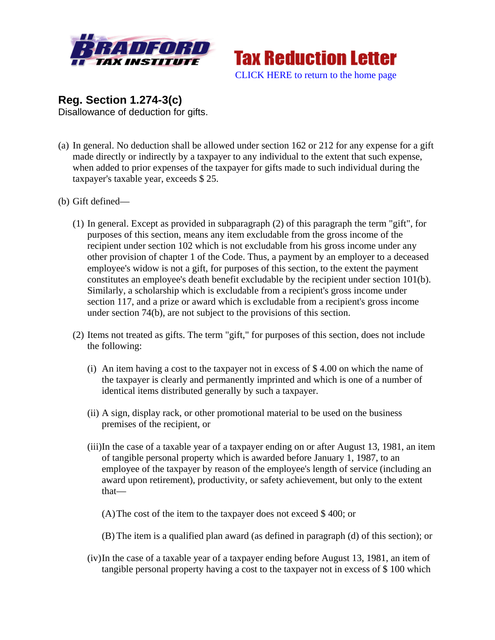



**Reg. Section 1.274-3(c)** Disallowance of deduction for gifts.

- (a) In general. No deduction shall be allowed under section 162 or 212 for any expense for a gift made directly or indirectly by a taxpayer to any individual to the extent that such expense, when added to prior expenses of the taxpayer for gifts made to such individual during the taxpayer's taxable year, exceeds \$ 25.
- (b) Gift defined—
	- (1) In general. Except as provided in subparagraph (2) of this paragraph the term "gift", for purposes of this section, means any item excludable from the gross income of the recipient under section 102 which is not excludable from his gross income under any other provision of chapter 1 of the Code. Thus, a payment by an employer to a deceased employee's widow is not a gift, for purposes of this section, to the extent the payment constitutes an employee's death benefit excludable by the recipient under section 101(b). Similarly, a scholarship which is excludable from a recipient's gross income under section 117, and a prize or award which is excludable from a recipient's gross income under section 74(b), are not subject to the provisions of this section.
	- (2) Items not treated as gifts. The term "gift," for purposes of this section, does not include the following:
		- (i) An item having a cost to the taxpayer not in excess of  $$4.00$  on which the name of the taxpayer is clearly and permanently imprinted and which is one of a number of identical items distributed generally by such a taxpayer.
		- (ii) A sign, display rack, or other promotional material to be used on the business premises of the recipient, or
		- (iii)In the case of a taxable year of a taxpayer ending on or after August 13, 1981, an item of tangible personal property which is awarded before January 1, 1987, to an employee of the taxpayer by reason of the employee's length of service (including an award upon retirement), productivity, or safety achievement, but only to the extent that—
			- (A)The cost of the item to the taxpayer does not exceed \$ 400; or
			- (B) The item is a qualified plan award (as defined in paragraph (d) of this section); or
		- (iv)In the case of a taxable year of a taxpayer ending before August 13, 1981, an item of tangible personal property having a cost to the taxpayer not in excess of \$ 100 which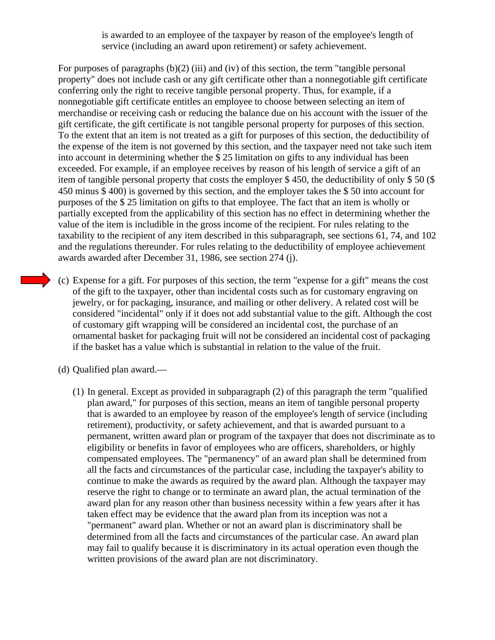is awarded to an employee of the taxpayer by reason of the employee's length of service (including an award upon retirement) or safety achievement.

For purposes of paragraphs  $(b)(2)$  (iii) and (iv) of this section, the term "tangible personal property" does not include cash or any gift certificate other than a nonnegotiable gift certificate conferring only the right to receive tangible personal property. Thus, for example, if a nonnegotiable gift certificate entitles an employee to choose between selecting an item of merchandise or receiving cash or reducing the balance due on his account with the issuer of the gift certificate, the gift certificate is not tangible personal property for purposes of this section. To the extent that an item is not treated as a gift for purposes of this section, the deductibility of the expense of the item is not governed by this section, and the taxpayer need not take such item into account in determining whether the \$ 25 limitation on gifts to any individual has been exceeded. For example, if an employee receives by reason of his length of service a gift of an item of tangible personal property that costs the employer \$ 450, the deductibility of only \$ 50 (\$ 450 minus \$ 400) is governed by this section, and the employer takes the \$ 50 into account for purposes of the \$ 25 limitation on gifts to that employee. The fact that an item is wholly or partially excepted from the applicability of this section has no effect in determining whether the value of the item is includible in the gross income of the recipient. For rules relating to the taxability to the recipient of any item described in this subparagraph, see sections 61, 74, and 102 and the regulations thereunder. For rules relating to the deductibility of employee achievement awards awarded after December 31, 1986, see section 274 (j).

- (c) Expense for a gift. For purposes of this section, the term "expense for a gift" means the cost of the gift to the taxpayer, other than incidental costs such as for customary engraving on jewelry, or for packaging, insurance, and mailing or other delivery. A related cost will be considered "incidental" only if it does not add substantial value to the gift. Although the cost of customary gift wrapping will be considered an incidental cost, the purchase of an ornamental basket for packaging fruit will not be considered an incidental cost of packaging if the basket has a value which is substantial in relation to the value of the fruit.
- (d) Qualified plan award.—
	- (1) In general. Except as provided in subparagraph (2) of this paragraph the term "qualified plan award," for purposes of this section, means an item of tangible personal property that is awarded to an employee by reason of the employee's length of service (including retirement), productivity, or safety achievement, and that is awarded pursuant to a permanent, written award plan or program of the taxpayer that does not discriminate as to eligibility or benefits in favor of employees who are officers, shareholders, or highly compensated employees. The "permanency" of an award plan shall be determined from all the facts and circumstances of the particular case, including the taxpayer's ability to continue to make the awards as required by the award plan. Although the taxpayer may reserve the right to change or to terminate an award plan, the actual termination of the award plan for any reason other than business necessity within a few years after it has taken effect may be evidence that the award plan from its inception was not a "permanent" award plan. Whether or not an award plan is discriminatory shall be determined from all the facts and circumstances of the particular case. An award plan may fail to qualify because it is discriminatory in its actual operation even though the written provisions of the award plan are not discriminatory.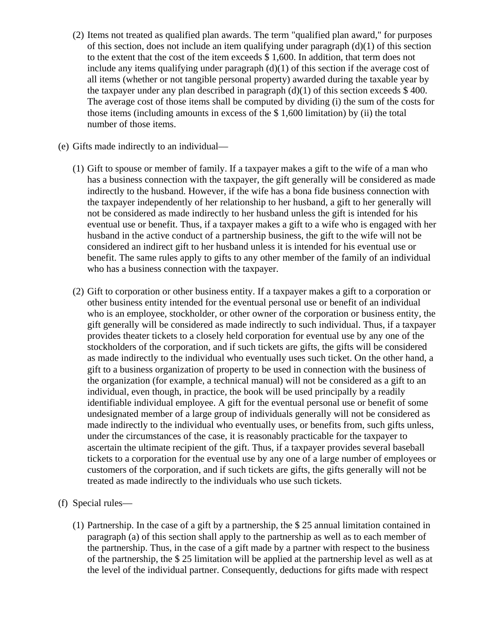- (2) Items not treated as qualified plan awards. The term "qualified plan award," for purposes of this section, does not include an item qualifying under paragraph (d)(1) of this section to the extent that the cost of the item exceeds \$ 1,600. In addition, that term does not include any items qualifying under paragraph  $(d)(1)$  of this section if the average cost of all items (whether or not tangible personal property) awarded during the taxable year by the taxpayer under any plan described in paragraph  $(d)(1)$  of this section exceeds \$400. The average cost of those items shall be computed by dividing (i) the sum of the costs for those items (including amounts in excess of the \$ 1,600 limitation) by (ii) the total number of those items.
- (e) Gifts made indirectly to an individual—
	- (1) Gift to spouse or member of family. If a taxpayer makes a gift to the wife of a man who has a business connection with the taxpayer, the gift generally will be considered as made indirectly to the husband. However, if the wife has a bona fide business connection with the taxpayer independently of her relationship to her husband, a gift to her generally will not be considered as made indirectly to her husband unless the gift is intended for his eventual use or benefit. Thus, if a taxpayer makes a gift to a wife who is engaged with her husband in the active conduct of a partnership business, the gift to the wife will not be considered an indirect gift to her husband unless it is intended for his eventual use or benefit. The same rules apply to gifts to any other member of the family of an individual who has a business connection with the taxpayer.
	- (2) Gift to corporation or other business entity. If a taxpayer makes a gift to a corporation or other business entity intended for the eventual personal use or benefit of an individual who is an employee, stockholder, or other owner of the corporation or business entity, the gift generally will be considered as made indirectly to such individual. Thus, if a taxpayer provides theater tickets to a closely held corporation for eventual use by any one of the stockholders of the corporation, and if such tickets are gifts, the gifts will be considered as made indirectly to the individual who eventually uses such ticket. On the other hand, a gift to a business organization of property to be used in connection with the business of the organization (for example, a technical manual) will not be considered as a gift to an individual, even though, in practice, the book will be used principally by a readily identifiable individual employee. A gift for the eventual personal use or benefit of some undesignated member of a large group of individuals generally will not be considered as made indirectly to the individual who eventually uses, or benefits from, such gifts unless, under the circumstances of the case, it is reasonably practicable for the taxpayer to ascertain the ultimate recipient of the gift. Thus, if a taxpayer provides several baseball tickets to a corporation for the eventual use by any one of a large number of employees or customers of the corporation, and if such tickets are gifts, the gifts generally will not be treated as made indirectly to the individuals who use such tickets.
- (f) Special rules—
	- (1) Partnership. In the case of a gift by a partnership, the \$ 25 annual limitation contained in paragraph (a) of this section shall apply to the partnership as well as to each member of the partnership. Thus, in the case of a gift made by a partner with respect to the business of the partnership, the \$ 25 limitation will be applied at the partnership level as well as at the level of the individual partner. Consequently, deductions for gifts made with respect